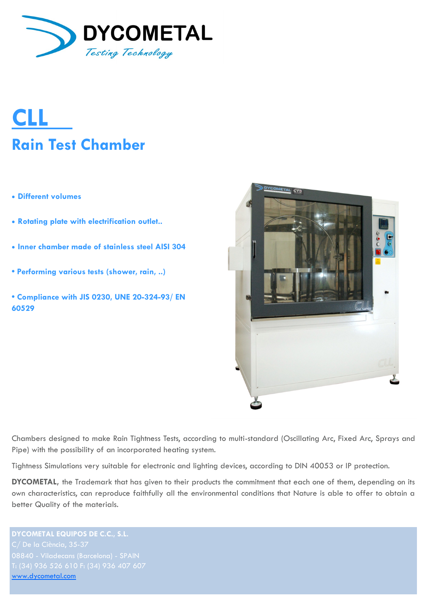

# **CLL Rain Test Chamber**

- **Different volumes**
- **Rotating plate with electrification outlet..**
- **Inner chamber made of stainless steel AISI 304**
- **Performing various tests (shower, rain, ..)**
- **Compliance with JIS 0230, UNE 20-324-93/ EN 60529**



Chambers designed to make Rain Tightness Tests, according to multi-standard (Oscillating Arc, Fixed Arc, Sprays and Pipe) with the possibility of an incorporated heating system.

Tightness Simulations very suitable for electronic and lighting devices, according to DIN 40053 or IP protection.

**DYCOMETAL,** the Trademark that has given to their products the commitment that each one of them, depending on its own characteristics, can reproduce faithfully all the environmental conditions that Nature is able to offer to obtain a better Quality of the materials.

**DYCOMETAL EQUIPOS DE C.C., S.L.** [www.dycometal.com](http://www.dycometal.com/)